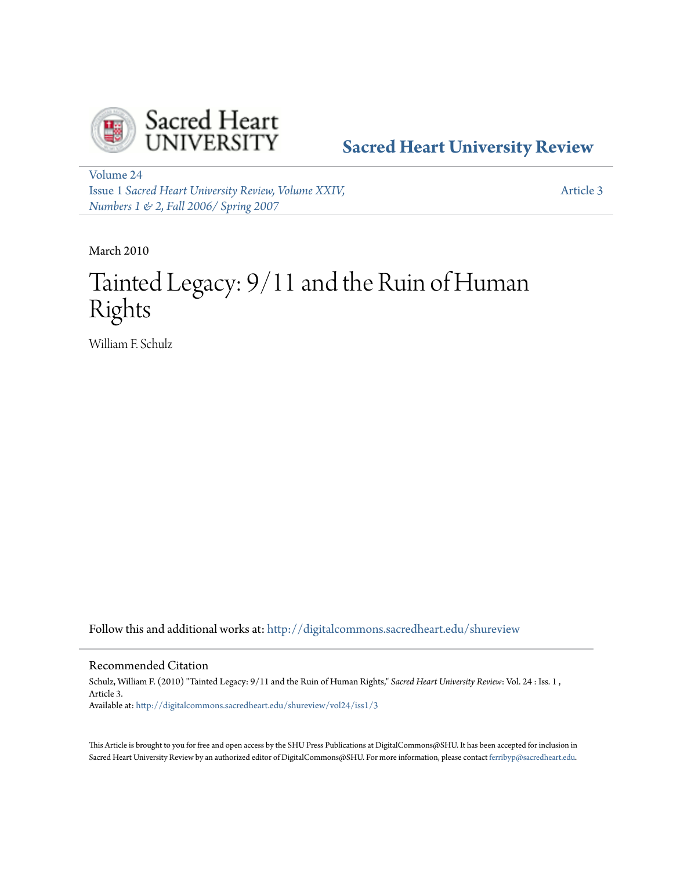

**[Sacred Heart University Review](http://digitalcommons.sacredheart.edu/shureview?utm_source=digitalcommons.sacredheart.edu%2Fshureview%2Fvol24%2Fiss1%2F3&utm_medium=PDF&utm_campaign=PDFCoverPages)**

[Volume 24](http://digitalcommons.sacredheart.edu/shureview/vol24?utm_source=digitalcommons.sacredheart.edu%2Fshureview%2Fvol24%2Fiss1%2F3&utm_medium=PDF&utm_campaign=PDFCoverPages) Issue 1 *[Sacred Heart University Review, Volume XXIV,](http://digitalcommons.sacredheart.edu/shureview/vol24/iss1?utm_source=digitalcommons.sacredheart.edu%2Fshureview%2Fvol24%2Fiss1%2F3&utm_medium=PDF&utm_campaign=PDFCoverPages) [Numbers 1 & 2, Fall 2006/ Spring 2007](http://digitalcommons.sacredheart.edu/shureview/vol24/iss1?utm_source=digitalcommons.sacredheart.edu%2Fshureview%2Fvol24%2Fiss1%2F3&utm_medium=PDF&utm_campaign=PDFCoverPages)*

[Article 3](http://digitalcommons.sacredheart.edu/shureview/vol24/iss1/3?utm_source=digitalcommons.sacredheart.edu%2Fshureview%2Fvol24%2Fiss1%2F3&utm_medium=PDF&utm_campaign=PDFCoverPages)

March 2010

# Tainted Legacy: 9/11 and the Ruin of Human Rights

William F. Schulz

Follow this and additional works at: [http://digitalcommons.sacredheart.edu/shureview](http://digitalcommons.sacredheart.edu/shureview?utm_source=digitalcommons.sacredheart.edu%2Fshureview%2Fvol24%2Fiss1%2F3&utm_medium=PDF&utm_campaign=PDFCoverPages)

#### Recommended Citation

Schulz, William F. (2010) "Tainted Legacy: 9/11 and the Ruin of Human Rights," *Sacred Heart University Review*: Vol. 24 : Iss. 1 , Article 3. Available at: [http://digitalcommons.sacredheart.edu/shureview/vol24/iss1/3](http://digitalcommons.sacredheart.edu/shureview/vol24/iss1/3?utm_source=digitalcommons.sacredheart.edu%2Fshureview%2Fvol24%2Fiss1%2F3&utm_medium=PDF&utm_campaign=PDFCoverPages)

This Article is brought to you for free and open access by the SHU Press Publications at DigitalCommons@SHU. It has been accepted for inclusion in Sacred Heart University Review by an authorized editor of DigitalCommons@SHU. For more information, please contact [ferribyp@sacredheart.edu](mailto:ferribyp@sacredheart.edu).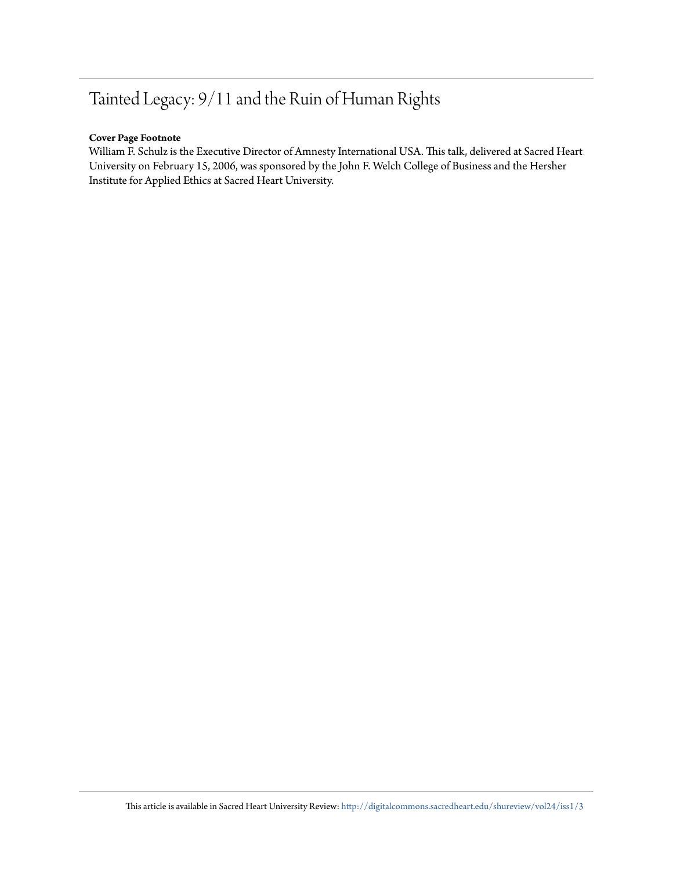## Tainted Legacy: 9/11 and the Ruin of Human Rights

#### **Cover Page Footnote**

William F. Schulz is the Executive Director of Amnesty International USA. This talk, delivered at Sacred Heart University on February 15, 2006, was sponsored by the John F. Welch College of Business and the Hersher Institute for Applied Ethics at Sacred Heart University.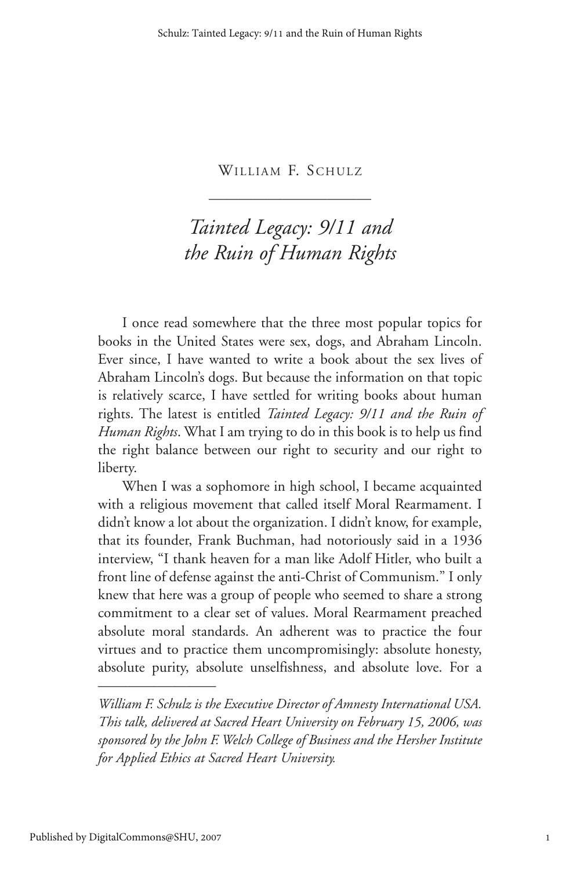———————————

### *Tainted Legacy: 9/11 and the Ruin of Human Rights*

I once read somewhere that the three most popular topics for books in the United States were sex, dogs, and Abraham Lincoln. Ever since, I have wanted to write a book about the sex lives of Abraham Lincoln's dogs. But because the information on that topic is relatively scarce, I have settled for writing books about human rights. The latest is entitled *Tainted Legacy: 9/11 and the Ruin of Human Rights*. What I am trying to do in this book is to help us find the right balance between our right to security and our right to liberty.

When I was a sophomore in high school, I became acquainted with a religious movement that called itself Moral Rearmament. I didn't know a lot about the organization. I didn't know, for example, that its founder, Frank Buchman, had notoriously said in a 1936 interview, "I thank heaven for a man like Adolf Hitler, who built a front line of defense against the anti-Christ of Communism." I only knew that here was a group of people who seemed to share a strong commitment to a clear set of values. Moral Rearmament preached absolute moral standards. An adherent was to practice the four virtues and to practice them uncompromisingly: absolute honesty, absolute purity, absolute unselfishness, and absolute love. For a

*William F. Schulz is the Executive Director of Amnesty International USA. This talk, delivered at Sacred Heart University on February 15, 2006, was sponsored by the John F. Welch College of Business and the Hersher Institute for Applied Ethics at Sacred Heart University.*

————————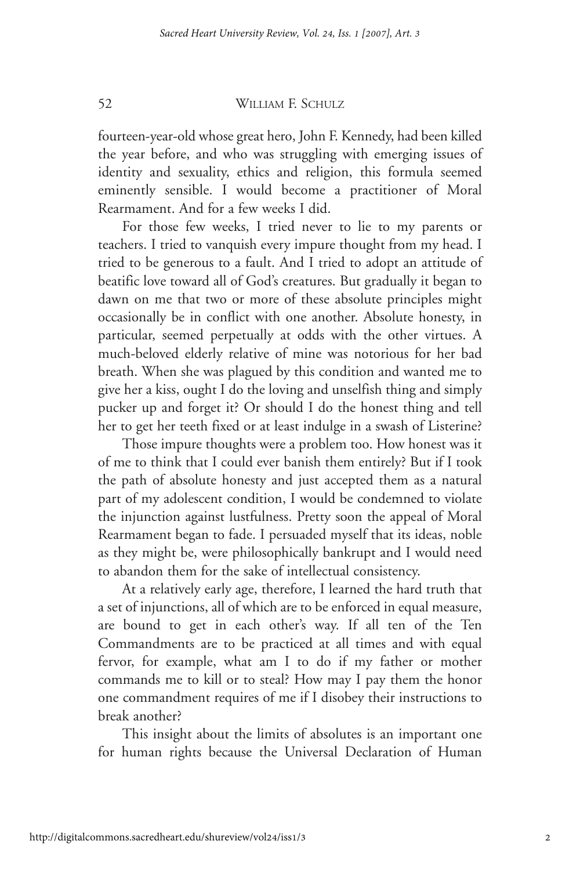fourteen-year-old whose great hero, John F. Kennedy, had been killed the year before, and who was struggling with emerging issues of identity and sexuality, ethics and religion, this formula seemed eminently sensible. I would become a practitioner of Moral Rearmament. And for a few weeks I did.

For those few weeks, I tried never to lie to my parents or teachers. I tried to vanquish every impure thought from my head. I tried to be generous to a fault. And I tried to adopt an attitude of beatific love toward all of God's creatures. But gradually it began to dawn on me that two or more of these absolute principles might occasionally be in conflict with one another. Absolute honesty, in particular, seemed perpetually at odds with the other virtues. A much-beloved elderly relative of mine was notorious for her bad breath. When she was plagued by this condition and wanted me to give her a kiss, ought I do the loving and unselfish thing and simply pucker up and forget it? Or should I do the honest thing and tell her to get her teeth fixed or at least indulge in a swash of Listerine?

Those impure thoughts were a problem too. How honest was it of me to think that I could ever banish them entirely? But if I took the path of absolute honesty and just accepted them as a natural part of my adolescent condition, I would be condemned to violate the injunction against lustfulness. Pretty soon the appeal of Moral Rearmament began to fade. I persuaded myself that its ideas, noble as they might be, were philosophically bankrupt and I would need to abandon them for the sake of intellectual consistency.

At a relatively early age, therefore, I learned the hard truth that a set of injunctions, all of which are to be enforced in equal measure, are bound to get in each other's way. If all ten of the Ten Commandments are to be practiced at all times and with equal fervor, for example, what am I to do if my father or mother commands me to kill or to steal? How may I pay them the honor one commandment requires of me if I disobey their instructions to break another?

This insight about the limits of absolutes is an important one for human rights because the Universal Declaration of Human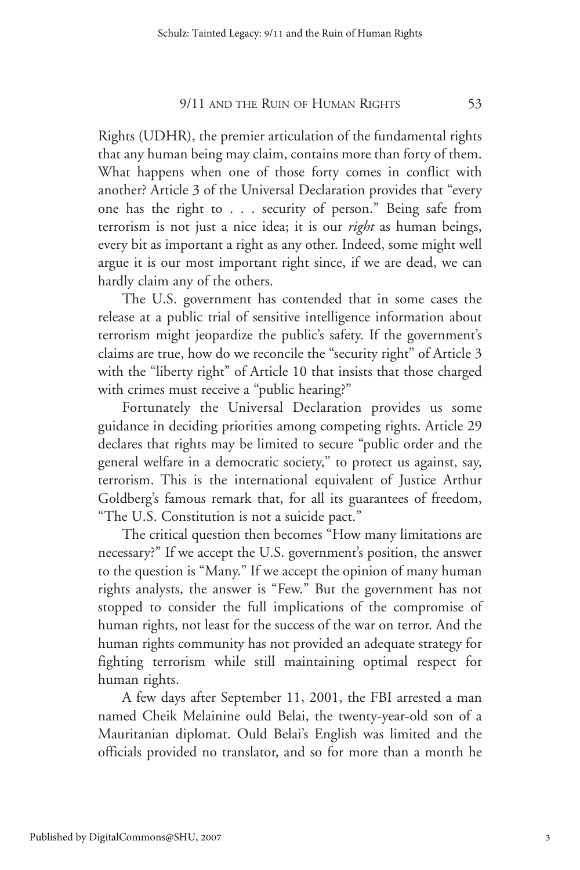Rights (UDHR), the premier articulation of the fundamental rights that any human being may claim, contains more than forty of them. What happens when one of those forty comes in conflict with another? Article 3 of the Universal Declaration provides that "every one has the right to . . . security of person." Being safe from terrorism is not just a nice idea; it is our *right* as human beings, every bit as important a right as any other. Indeed, some might well argue it is our most important right since, if we are dead, we can hardly claim any of the others.

The U.S. government has contended that in some cases the release at a public trial of sensitive intelligence information about terrorism might jeopardize the public's safety. If the government's claims are true, how do we reconcile the "security right" of Article 3 with the "liberty right" of Article 10 that insists that those charged with crimes must receive a "public hearing?"

Fortunately the Universal Declaration provides us some guidance in deciding priorities among competing rights. Article 29 declares that rights may be limited to secure "public order and the general welfare in a democratic society," to protect us against, say, terrorism. This is the international equivalent of Justice Arthur Goldberg's famous remark that, for all its guarantees of freedom, "The U.S. Constitution is not a suicide pact."

The critical question then becomes "How many limitations are necessary?" If we accept the U.S. government's position, the answer to the question is "Many." If we accept the opinion of many human rights analysts, the answer is "Few." But the government has not stopped to consider the full implications of the compromise of human rights, not least for the success of the war on terror. And the human rights community has not provided an adequate strategy for fighting terrorism while still maintaining optimal respect for human rights.

A few days after September 11, 2001, the FBI arrested a man named Cheik Melainine ould Belai, the twenty-year-old son of a Mauritanian diplomat. Ould Belai's English was limited and the officials provided no translator, and so for more than a month he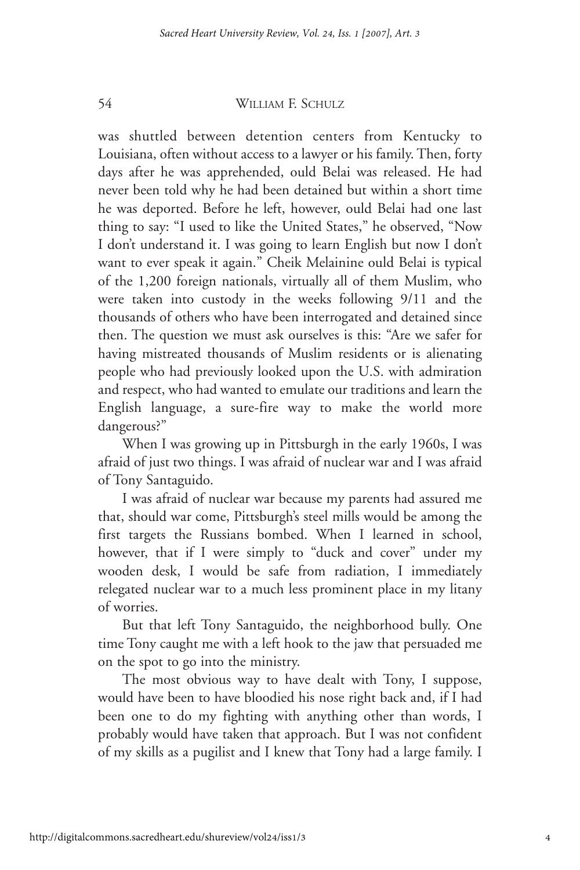was shuttled between detention centers from Kentucky to Louisiana, often without access to a lawyer or his family. Then, forty days after he was apprehended, ould Belai was released. He had never been told why he had been detained but within a short time he was deported. Before he left, however, ould Belai had one last thing to say: "I used to like the United States," he observed, "Now I don't understand it. I was going to learn English but now I don't want to ever speak it again." Cheik Melainine ould Belai is typical of the 1,200 foreign nationals, virtually all of them Muslim, who were taken into custody in the weeks following 9/11 and the thousands of others who have been interrogated and detained since then. The question we must ask ourselves is this: "Are we safer for having mistreated thousands of Muslim residents or is alienating people who had previously looked upon the U.S. with admiration and respect, who had wanted to emulate our traditions and learn the English language, a sure-fire way to make the world more dangerous?"

When I was growing up in Pittsburgh in the early 1960s, I was afraid of just two things. I was afraid of nuclear war and I was afraid of Tony Santaguido.

I was afraid of nuclear war because my parents had assured me that, should war come, Pittsburgh's steel mills would be among the first targets the Russians bombed. When I learned in school, however, that if I were simply to "duck and cover" under my wooden desk, I would be safe from radiation, I immediately relegated nuclear war to a much less prominent place in my litany of worries.

But that left Tony Santaguido, the neighborhood bully. One time Tony caught me with a left hook to the jaw that persuaded me on the spot to go into the ministry.

The most obvious way to have dealt with Tony, I suppose, would have been to have bloodied his nose right back and, if I had been one to do my fighting with anything other than words, I probably would have taken that approach. But I was not confident of my skills as a pugilist and I knew that Tony had a large family. I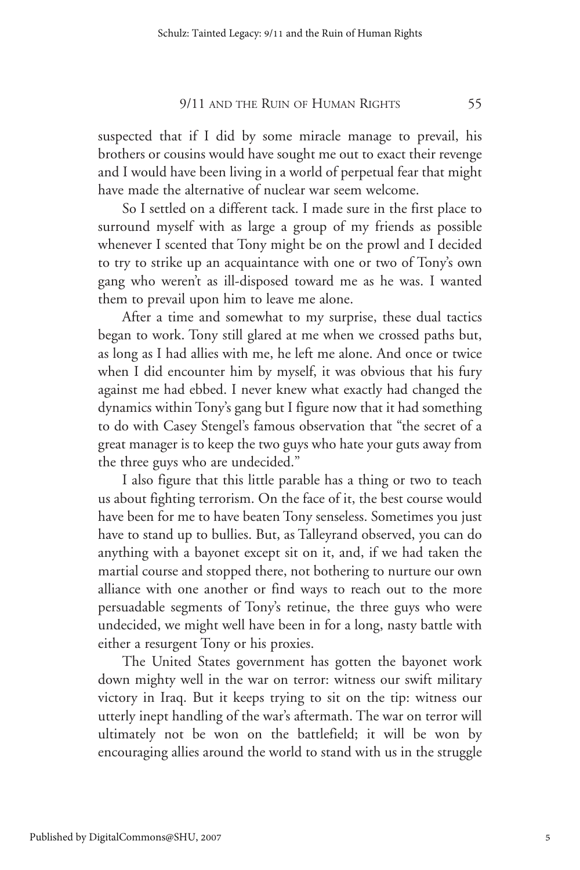suspected that if I did by some miracle manage to prevail, his brothers or cousins would have sought me out to exact their revenge and I would have been living in a world of perpetual fear that might have made the alternative of nuclear war seem welcome.

So I settled on a different tack. I made sure in the first place to surround myself with as large a group of my friends as possible whenever I scented that Tony might be on the prowl and I decided to try to strike up an acquaintance with one or two of Tony's own gang who weren't as ill-disposed toward me as he was. I wanted them to prevail upon him to leave me alone.

After a time and somewhat to my surprise, these dual tactics began to work. Tony still glared at me when we crossed paths but, as long as I had allies with me, he left me alone. And once or twice when I did encounter him by myself, it was obvious that his fury against me had ebbed. I never knew what exactly had changed the dynamics within Tony's gang but I figure now that it had something to do with Casey Stengel's famous observation that "the secret of a great manager is to keep the two guys who hate your guts away from the three guys who are undecided."

I also figure that this little parable has a thing or two to teach us about fighting terrorism. On the face of it, the best course would have been for me to have beaten Tony senseless. Sometimes you just have to stand up to bullies. But, as Talleyrand observed, you can do anything with a bayonet except sit on it, and, if we had taken the martial course and stopped there, not bothering to nurture our own alliance with one another or find ways to reach out to the more persuadable segments of Tony's retinue, the three guys who were undecided, we might well have been in for a long, nasty battle with either a resurgent Tony or his proxies.

The United States government has gotten the bayonet work down mighty well in the war on terror: witness our swift military victory in Iraq. But it keeps trying to sit on the tip: witness our utterly inept handling of the war's aftermath. The war on terror will ultimately not be won on the battlefield; it will be won by encouraging allies around the world to stand with us in the struggle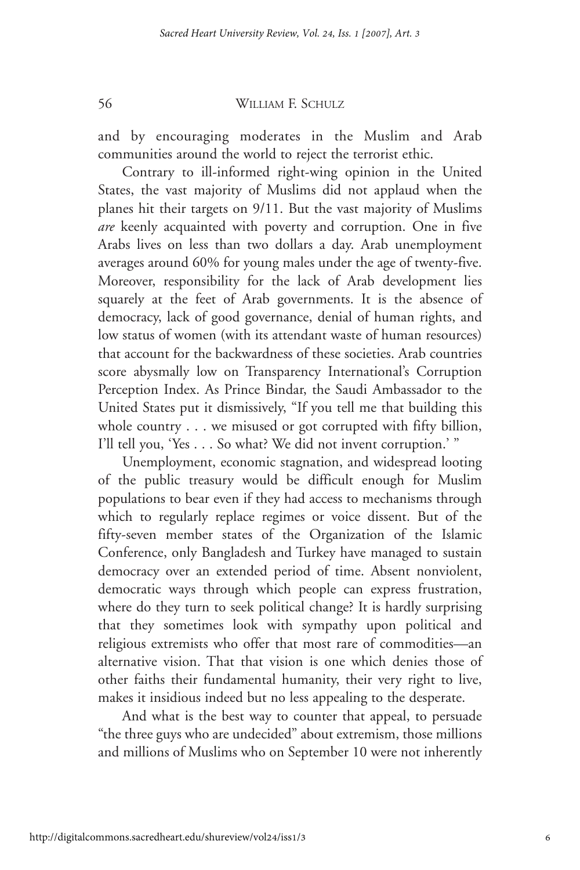and by encouraging moderates in the Muslim and Arab communities around the world to reject the terrorist ethic.

Contrary to ill-informed right-wing opinion in the United States, the vast majority of Muslims did not applaud when the planes hit their targets on 9/11. But the vast majority of Muslims *are* keenly acquainted with poverty and corruption. One in five Arabs lives on less than two dollars a day. Arab unemployment averages around 60% for young males under the age of twenty-five. Moreover, responsibility for the lack of Arab development lies squarely at the feet of Arab governments. It is the absence of democracy, lack of good governance, denial of human rights, and low status of women (with its attendant waste of human resources) that account for the backwardness of these societies. Arab countries score abysmally low on Transparency International's Corruption Perception Index. As Prince Bindar, the Saudi Ambassador to the United States put it dismissively, "If you tell me that building this whole country . . . we misused or got corrupted with fifty billion, I'll tell you, 'Yes . . . So what? We did not invent corruption.' "

Unemployment, economic stagnation, and widespread looting of the public treasury would be difficult enough for Muslim populations to bear even if they had access to mechanisms through which to regularly replace regimes or voice dissent. But of the fifty-seven member states of the Organization of the Islamic Conference, only Bangladesh and Turkey have managed to sustain democracy over an extended period of time. Absent nonviolent, democratic ways through which people can express frustration, where do they turn to seek political change? It is hardly surprising that they sometimes look with sympathy upon political and religious extremists who offer that most rare of commodities—an alternative vision. That that vision is one which denies those of other faiths their fundamental humanity, their very right to live, makes it insidious indeed but no less appealing to the desperate.

And what is the best way to counter that appeal, to persuade "the three guys who are undecided" about extremism, those millions and millions of Muslims who on September 10 were not inherently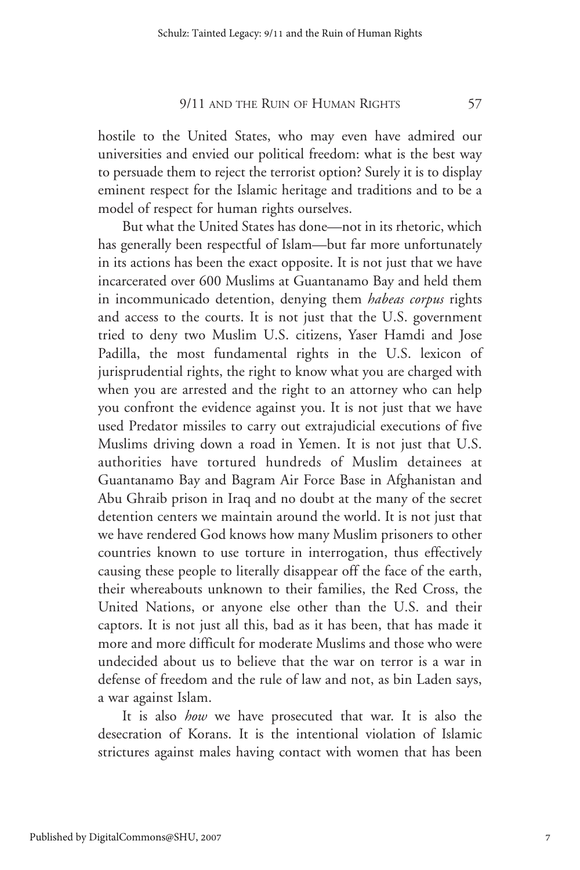hostile to the United States, who may even have admired our universities and envied our political freedom: what is the best way to persuade them to reject the terrorist option? Surely it is to display eminent respect for the Islamic heritage and traditions and to be a model of respect for human rights ourselves.

But what the United States has done—not in its rhetoric, which has generally been respectful of Islam—but far more unfortunately in its actions has been the exact opposite. It is not just that we have incarcerated over 600 Muslims at Guantanamo Bay and held them in incommunicado detention, denying them *habeas corpus* rights and access to the courts. It is not just that the U.S. government tried to deny two Muslim U.S. citizens, Yaser Hamdi and Jose Padilla, the most fundamental rights in the U.S. lexicon of jurisprudential rights, the right to know what you are charged with when you are arrested and the right to an attorney who can help you confront the evidence against you. It is not just that we have used Predator missiles to carry out extrajudicial executions of five Muslims driving down a road in Yemen. It is not just that U.S. authorities have tortured hundreds of Muslim detainees at Guantanamo Bay and Bagram Air Force Base in Afghanistan and Abu Ghraib prison in Iraq and no doubt at the many of the secret detention centers we maintain around the world. It is not just that we have rendered God knows how many Muslim prisoners to other countries known to use torture in interrogation, thus effectively causing these people to literally disappear off the face of the earth, their whereabouts unknown to their families, the Red Cross, the United Nations, or anyone else other than the U.S. and their captors. It is not just all this, bad as it has been, that has made it more and more difficult for moderate Muslims and those who were undecided about us to believe that the war on terror is a war in defense of freedom and the rule of law and not, as bin Laden says, a war against Islam.

It is also *how* we have prosecuted that war. It is also the desecration of Korans. It is the intentional violation of Islamic strictures against males having contact with women that has been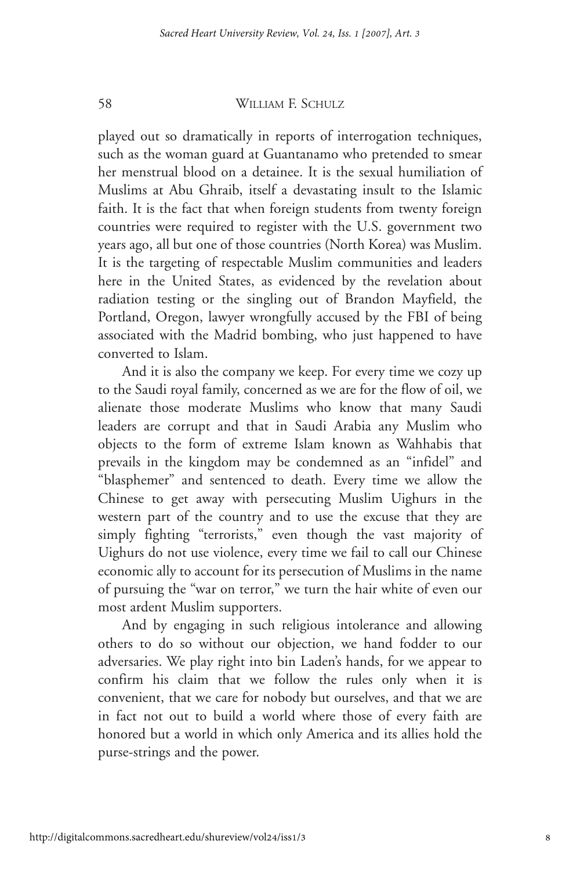played out so dramatically in reports of interrogation techniques, such as the woman guard at Guantanamo who pretended to smear her menstrual blood on a detainee. It is the sexual humiliation of Muslims at Abu Ghraib, itself a devastating insult to the Islamic faith. It is the fact that when foreign students from twenty foreign countries were required to register with the U.S. government two years ago, all but one of those countries (North Korea) was Muslim. It is the targeting of respectable Muslim communities and leaders here in the United States, as evidenced by the revelation about radiation testing or the singling out of Brandon Mayfield, the Portland, Oregon, lawyer wrongfully accused by the FBI of being associated with the Madrid bombing, who just happened to have converted to Islam.

And it is also the company we keep. For every time we cozy up to the Saudi royal family, concerned as we are for the flow of oil, we alienate those moderate Muslims who know that many Saudi leaders are corrupt and that in Saudi Arabia any Muslim who objects to the form of extreme Islam known as Wahhabis that prevails in the kingdom may be condemned as an "infidel" and "blasphemer" and sentenced to death. Every time we allow the Chinese to get away with persecuting Muslim Uighurs in the western part of the country and to use the excuse that they are simply fighting "terrorists," even though the vast majority of Uighurs do not use violence, every time we fail to call our Chinese economic ally to account for its persecution of Muslims in the name of pursuing the "war on terror," we turn the hair white of even our most ardent Muslim supporters.

And by engaging in such religious intolerance and allowing others to do so without our objection, we hand fodder to our adversaries. We play right into bin Laden's hands, for we appear to confirm his claim that we follow the rules only when it is convenient, that we care for nobody but ourselves, and that we are in fact not out to build a world where those of every faith are honored but a world in which only America and its allies hold the purse-strings and the power.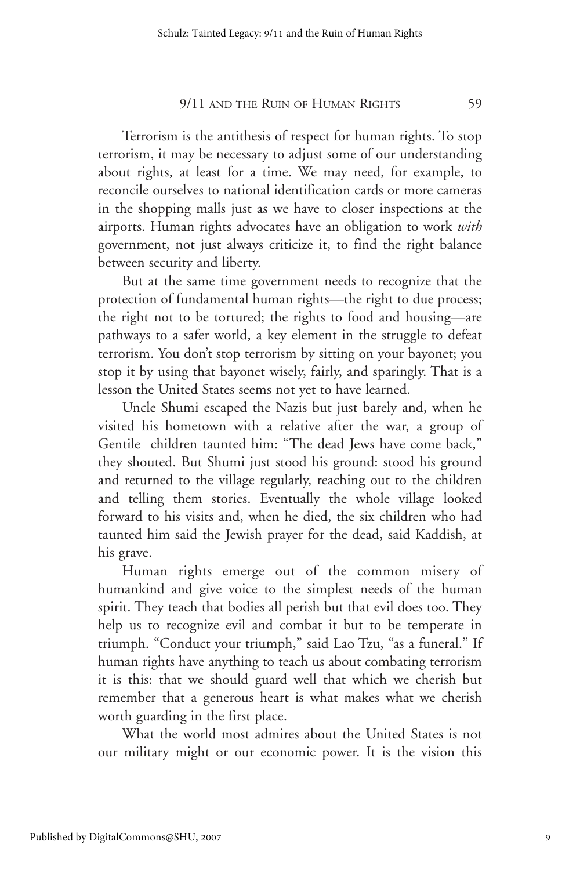Terrorism is the antithesis of respect for human rights. To stop terrorism, it may be necessary to adjust some of our understanding about rights, at least for a time. We may need, for example, to reconcile ourselves to national identification cards or more cameras in the shopping malls just as we have to closer inspections at the airports. Human rights advocates have an obligation to work *with* government, not just always criticize it, to find the right balance between security and liberty.

But at the same time government needs to recognize that the protection of fundamental human rights—the right to due process; the right not to be tortured; the rights to food and housing—are pathways to a safer world, a key element in the struggle to defeat terrorism. You don't stop terrorism by sitting on your bayonet; you stop it by using that bayonet wisely, fairly, and sparingly. That is a lesson the United States seems not yet to have learned.

Uncle Shumi escaped the Nazis but just barely and, when he visited his hometown with a relative after the war, a group of Gentile children taunted him: "The dead Jews have come back," they shouted. But Shumi just stood his ground: stood his ground and returned to the village regularly, reaching out to the children and telling them stories. Eventually the whole village looked forward to his visits and, when he died, the six children who had taunted him said the Jewish prayer for the dead, said Kaddish, at his grave.

Human rights emerge out of the common misery of humankind and give voice to the simplest needs of the human spirit. They teach that bodies all perish but that evil does too. They help us to recognize evil and combat it but to be temperate in triumph. "Conduct your triumph," said Lao Tzu, "as a funeral." If human rights have anything to teach us about combating terrorism it is this: that we should guard well that which we cherish but remember that a generous heart is what makes what we cherish worth guarding in the first place.

What the world most admires about the United States is not our military might or our economic power. It is the vision this